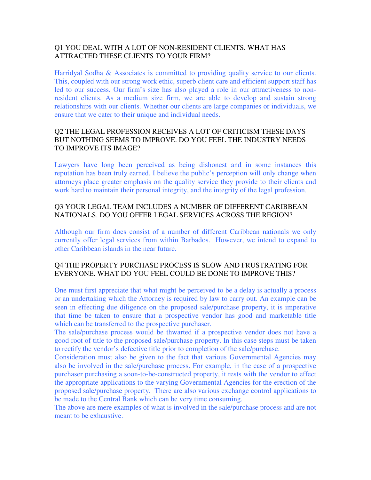## Q1 YOU DEAL WITH A LOT OF NON-RESIDENT CLIENTS. WHAT HAS ATTRACTED THESE CLIENTS TO YOUR FIRM?

Harridyal Sodha & Associates is committed to providing quality service to our clients. This, coupled with our strong work ethic, superb client care and efficient support staff has led to our success. Our firm's size has also played a role in our attractiveness to nonresident clients. As a medium size firm, we are able to develop and sustain strong relationships with our clients. Whether our clients are large companies or individuals, we ensure that we cater to their unique and individual needs.

## Q2 THE LEGAL PROFESSION RECEIVES A LOT OF CRITICISM THESE DAYS BUT NOTHING SEEMS TO IMPROVE. DO YOU FEEL THE INDUSTRY NEEDS TO IMPROVE ITS IMAGE?

Lawyers have long been perceived as being dishonest and in some instances this reputation has been truly earned. I believe the public's perception will only change when attorneys place greater emphasis on the quality service they provide to their clients and work hard to maintain their personal integrity, and the integrity of the legal profession.

## Q3 YOUR LEGAL TEAM INCLUDES A NUMBER OF DIFFERENT CARIBBEAN NATIONALS. DO YOU OFFER LEGAL SERVICES ACROSS THE REGION?

Although our firm does consist of a number of different Caribbean nationals we only currently offer legal services from within Barbados. However, we intend to expand to other Caribbean islands in the near future.

#### Q4 THE PROPERTY PURCHASE PROCESS IS SLOW AND FRUSTRATING FOR EVERYONE. WHAT DO YOU FEEL COULD BE DONE TO IMPROVE THIS?

One must first appreciate that what might be perceived to be a delay is actually a process or an undertaking which the Attorney is required by law to carry out. An example can be seen in effecting due diligence on the proposed sale/purchase property, it is imperative that time be taken to ensure that a prospective vendor has good and marketable title which can be transferred to the prospective purchaser.

The sale/purchase process would be thwarted if a prospective vendor does not have a good root of title to the proposed sale/purchase property. In this case steps must be taken to rectify the vendor's defective title prior to completion of the sale/purchase.

Consideration must also be given to the fact that various Governmental Agencies may also be involved in the sale/purchase process. For example, in the case of a prospective purchaser purchasing a soon-to-be-constructed property, it rests with the vendor to effect the appropriate applications to the varying Governmental Agencies for the erection of the proposed sale/purchase property. There are also various exchange control applications to be made to the Central Bank which can be very time consuming.

The above are mere examples of what is involved in the sale/purchase process and are not meant to be exhaustive.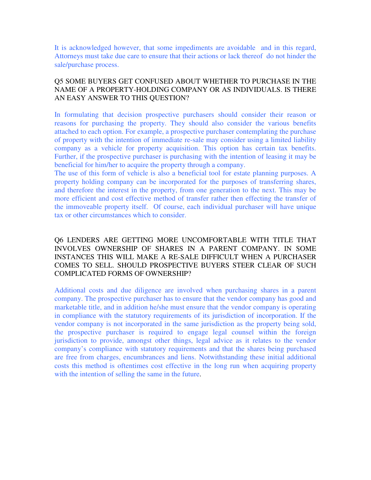It is acknowledged however, that some impediments are avoidable and in this regard, Attorneys must take due care to ensure that their actions or lack thereof do not hinder the sale/purchase process.

#### Q5 SOME BUYERS GET CONFUSED ABOUT WHETHER TO PURCHASE IN THE NAME OF A PROPERTY-HOLDING COMPANY OR AS INDIVIDUALS. IS THERE AN EASY ANSWER TO THIS QUESTION?

In formulating that decision prospective purchasers should consider their reason or reasons for purchasing the property. They should also consider the various benefits attached to each option. For example, a prospective purchaser contemplating the purchase of property with the intention of immediate re-sale may consider using a limited liability company as a vehicle for property acquisition. This option has certain tax benefits. Further, if the prospective purchaser is purchasing with the intention of leasing it may be beneficial for him/her to acquire the property through a company.

The use of this form of vehicle is also a beneficial tool for estate planning purposes. A property holding company can be incorporated for the purposes of transferring shares, and therefore the interest in the property, from one generation to the next. This may be more efficient and cost effective method of transfer rather then effecting the transfer of the immoveable property itself. Of course, each individual purchaser will have unique tax or other circumstances which to consider.

## Q6 LENDERS ARE GETTING MORE UNCOMFORTABLE WITH TITLE THAT INVOLVES OWNERSHIP OF SHARES IN A PARENT COMPANY. IN SOME INSTANCES THIS WILL MAKE A RE-SALE DIFFICULT WHEN A PURCHASER COMES TO SELL. SHOULD PROSPECTIVE BUYERS STEER CLEAR OF SUCH COMPLICATED FORMS OF OWNERSHIP?

Additional costs and due diligence are involved when purchasing shares in a parent company. The prospective purchaser has to ensure that the vendor company has good and marketable title, and in addition he/she must ensure that the vendor company is operating in compliance with the statutory requirements of its jurisdiction of incorporation. If the vendor company is not incorporated in the same jurisdiction as the property being sold, the prospective purchaser is required to engage legal counsel within the foreign jurisdiction to provide, amongst other things, legal advice as it relates to the vendor company's compliance with statutory requirements and that the shares being purchased are free from charges, encumbrances and liens. Notwithstanding these initial additional costs this method is oftentimes cost effective in the long run when acquiring property with the intention of selling the same in the future.